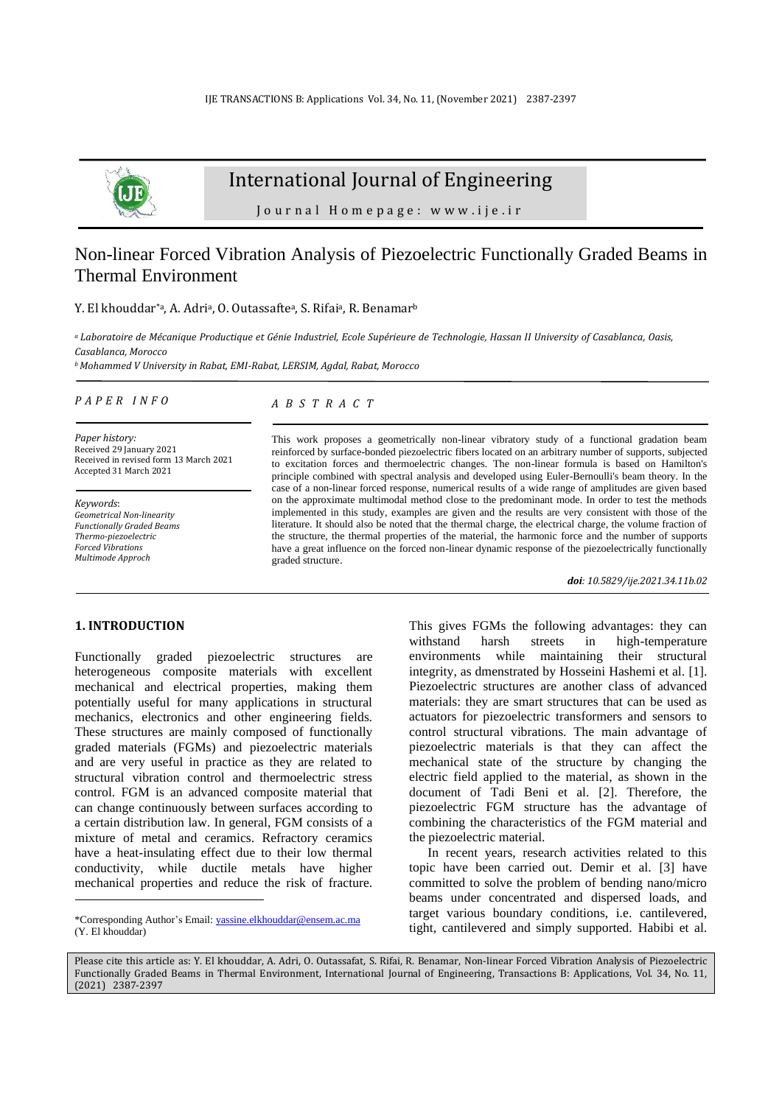

# International Journal of Engineering

Journal Homepage: www.ije.ir

# Non-linear Forced Vibration Analysis of Piezoelectric Functionally Graded Beams in Thermal Environment

Y. El khouddar\*ª, A. Adriª, O. Outassafteª, S. Rifaiª, R. Benamar<sup>b</sup>

*<sup>a</sup>Laboratoire de Mécanique Productique et Génie Industriel, Ecole Supérieure de Technologie, Hassan II University of Casablanca, Oasis, Casablanca, Morocco*

*<sup>b</sup>Mohammed V University in Rabat, EMI-Rabat, LERSIM, Agdal, Rabat, Morocco*

*P A P E R I N F O*

*Paper history:* Received 29 January 2021 Received in revised form 13 March 2021 Accepted 31 March 2021

*Keywords*: *Geometrical Non-linearity Functionally Graded Beams Thermo-piezoelectric Forced Vibrations Multimode Approch*

### *A B S T R A C T*

This work proposes a geometrically non-linear vibratory study of a functional gradation beam reinforced by surface-bonded piezoelectric fibers located on an arbitrary number of supports, subjected to excitation forces and thermoelectric changes. The non-linear formula is based on Hamilton's principle combined with spectral analysis and developed using Euler-Bernoulli's beam theory. In the case of a non-linear forced response, numerical results of a wide range of amplitudes are given based on the approximate multimodal method close to the predominant mode. In order to test the methods implemented in this study, examples are given and the results are very consistent with those of the literature. It should also be noted that the thermal charge, the electrical charge, the volume fraction of the structure, the thermal properties of the material, the harmonic force and the number of supports have a great influence on the forced non-linear dynamic response of the piezoelectrically functionally graded structure.

*doi: 10.5829/ije.2021.34.11b.02*

## **1. INTRODUCTION<sup>1</sup>**

Functionally graded piezoelectric structures are heterogeneous composite materials with excellent mechanical and electrical properties, making them potentially useful for many applications in structural mechanics, electronics and other engineering fields. These structures are mainly composed of functionally graded materials (FGMs) and piezoelectric materials and are very useful in practice as they are related to structural vibration control and thermoelectric stress control. FGM is an advanced composite material that can change continuously between surfaces according to a certain distribution law. In general, FGM consists of a mixture of metal and ceramics. Refractory ceramics have a heat-insulating effect due to their low thermal conductivity, while ductile metals have higher mechanical properties and reduce the risk of fracture.

This gives FGMs the following advantages: they can withstand harsh streets in high-temperature environments while maintaining their structural integrity, as dmenstrated by Hosseini Hashemi et al. [1]. Piezoelectric structures are another class of advanced materials: they are smart structures that can be used as actuators for piezoelectric transformers and sensors to control structural vibrations. The main advantage of piezoelectric materials is that they can affect the mechanical state of the structure by changing the electric field applied to the material, as shown in the document of Tadi Beni et al. [2]. Therefore, the piezoelectric FGM structure has the advantage of combining the characteristics of the FGM material and the piezoelectric material.

In recent years, research activities related to this topic have been carried out. Demir et al. [3] have committed to solve the problem of bending nano/micro beams under concentrated and dispersed loads, and target various boundary conditions, i.e. cantilevered, tight, cantilevered and simply supported. Habibi et al.

Please cite this article as: Y. El khouddar, A. Adri, O. Outassafat, S. Rifai, R. Benamar, Non-linear Forced Vibration Analysis of Piezoelectric Functionally Graded Beams in Thermal Environment, International Journal of Engineering, Transactions B: Applications, Vol. 34, No. 11, (2021) 2387-2397

<sup>\*</sup>Corresponding Author's Email[: yassine.elkhouddar@ensem.ac.ma](mailto:yassine.elkhouddar@ensem.ac.ma) (Y. El khouddar)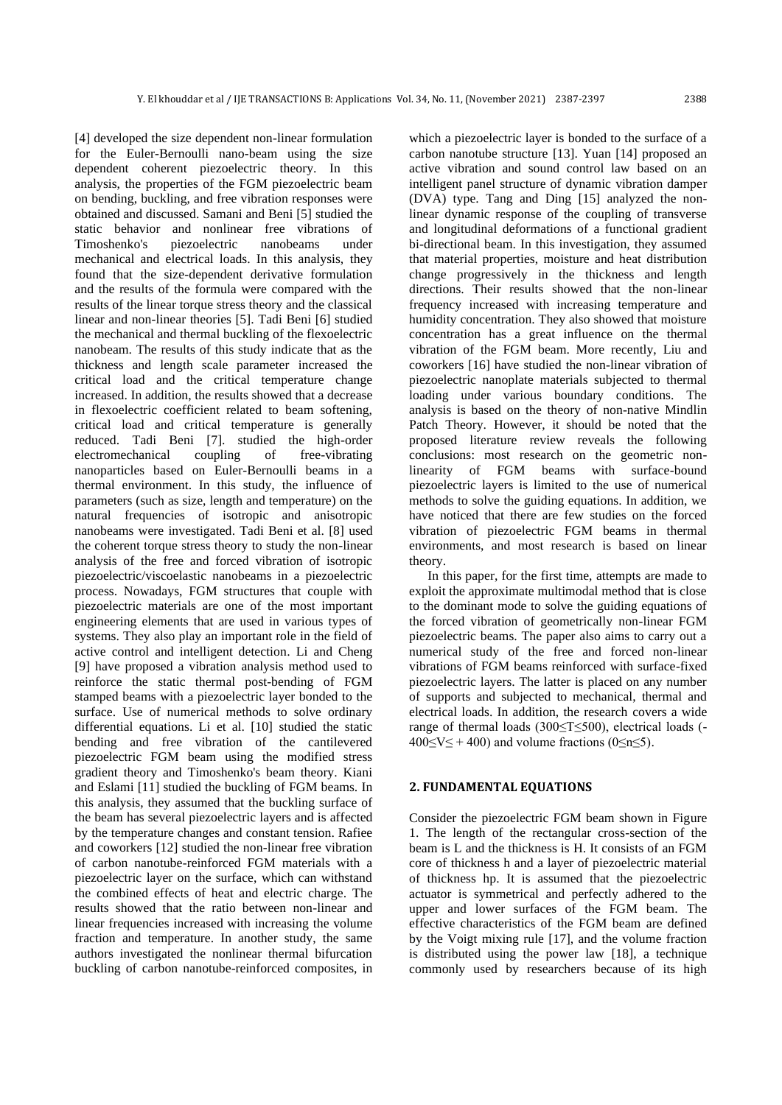[4] developed the size dependent non-linear formulation for the Euler-Bernoulli nano-beam using the size dependent coherent piezoelectric theory. In this analysis, the properties of the FGM piezoelectric beam on bending, buckling, and free vibration responses were obtained and discussed. Samani and Beni [5] studied the static behavior and nonlinear free vibrations of Timoshenko's piezoelectric nanobeams under mechanical and electrical loads. In this analysis, they found that the size-dependent derivative formulation and the results of the formula were compared with the results of the linear torque stress theory and the classical linear and non-linear theories [5]. Tadi Beni [6] studied the mechanical and thermal buckling of the flexoelectric nanobeam. The results of this study indicate that as the thickness and length scale parameter increased the critical load and the critical temperature change increased. In addition, the results showed that a decrease in flexoelectric coefficient related to beam softening, critical load and critical temperature is generally reduced. Tadi Beni [7]. studied the high-order electromechanical coupling of free-vibrating nanoparticles based on Euler-Bernoulli beams in a thermal environment. In this study, the influence of parameters (such as size, length and temperature) on the natural frequencies of isotropic and anisotropic nanobeams were investigated. Tadi Beni et al. [8] used the coherent torque stress theory to study the non-linear analysis of the free and forced vibration of isotropic piezoelectric/viscoelastic nanobeams in a piezoelectric process. Nowadays, FGM structures that couple with piezoelectric materials are one of the most important engineering elements that are used in various types of systems. They also play an important role in the field of active control and intelligent detection. Li and Cheng [9] have proposed a vibration analysis method used to reinforce the static thermal post-bending of FGM stamped beams with a piezoelectric layer bonded to the surface. Use of numerical methods to solve ordinary differential equations. Li et al. [10] studied the static bending and free vibration of the cantilevered piezoelectric FGM beam using the modified stress gradient theory and Timoshenko's beam theory. Kiani and Eslami [11] studied the buckling of FGM beams. In this analysis, they assumed that the buckling surface of the beam has several piezoelectric layers and is affected by the temperature changes and constant tension. Rafiee and coworkers [12] studied the non-linear free vibration of carbon nanotube-reinforced FGM materials with a piezoelectric layer on the surface, which can withstand the combined effects of heat and electric charge. The results showed that the ratio between non-linear and linear frequencies increased with increasing the volume fraction and temperature. In another study, the same authors investigated the nonlinear thermal bifurcation buckling of carbon nanotube-reinforced composites, in which a piezoelectric layer is bonded to the surface of a carbon nanotube structure [13]. Yuan [14] proposed an active vibration and sound control law based on an intelligent panel structure of dynamic vibration damper (DVA) type. Tang and Ding [15] analyzed the nonlinear dynamic response of the coupling of transverse and longitudinal deformations of a functional gradient bi-directional beam. In this investigation, they assumed that material properties, moisture and heat distribution change progressively in the thickness and length directions. Their results showed that the non-linear frequency increased with increasing temperature and humidity concentration. They also showed that moisture concentration has a great influence on the thermal vibration of the FGM beam. More recently, Liu and coworkers [16] have studied the non-linear vibration of piezoelectric nanoplate materials subjected to thermal loading under various boundary conditions. The analysis is based on the theory of non-native Mindlin Patch Theory. However, it should be noted that the proposed literature review reveals the following conclusions: most research on the geometric nonlinearity of FGM beams with surface-bound piezoelectric layers is limited to the use of numerical methods to solve the guiding equations. In addition, we have noticed that there are few studies on the forced vibration of piezoelectric FGM beams in thermal environments, and most research is based on linear theory.

In this paper, for the first time, attempts are made to exploit the approximate multimodal method that is close to the dominant mode to solve the guiding equations of the forced vibration of geometrically non-linear FGM piezoelectric beams. The paper also aims to carry out a numerical study of the free and forced non-linear vibrations of FGM beams reinforced with surface-fixed piezoelectric layers. The latter is placed on any number of supports and subjected to mechanical, thermal and electrical loads. In addition, the research covers a wide range of thermal loads (300≤T≤500), electrical loads (-  $400\le V \le +400$ ) and volume fractions (0 $\le n \le 5$ ).

### **2. FUNDAMENTAL EQUATIONS**

Consider the piezoelectric FGM beam shown in Figure 1. The length of the rectangular cross-section of the beam is L and the thickness is H. It consists of an FGM core of thickness h and a layer of piezoelectric material of thickness hp. It is assumed that the piezoelectric actuator is symmetrical and perfectly adhered to the upper and lower surfaces of the FGM beam. The effective characteristics of the FGM beam are defined by the Voigt mixing rule [17], and the volume fraction is distributed using the power law [18], a technique commonly used by researchers because of its high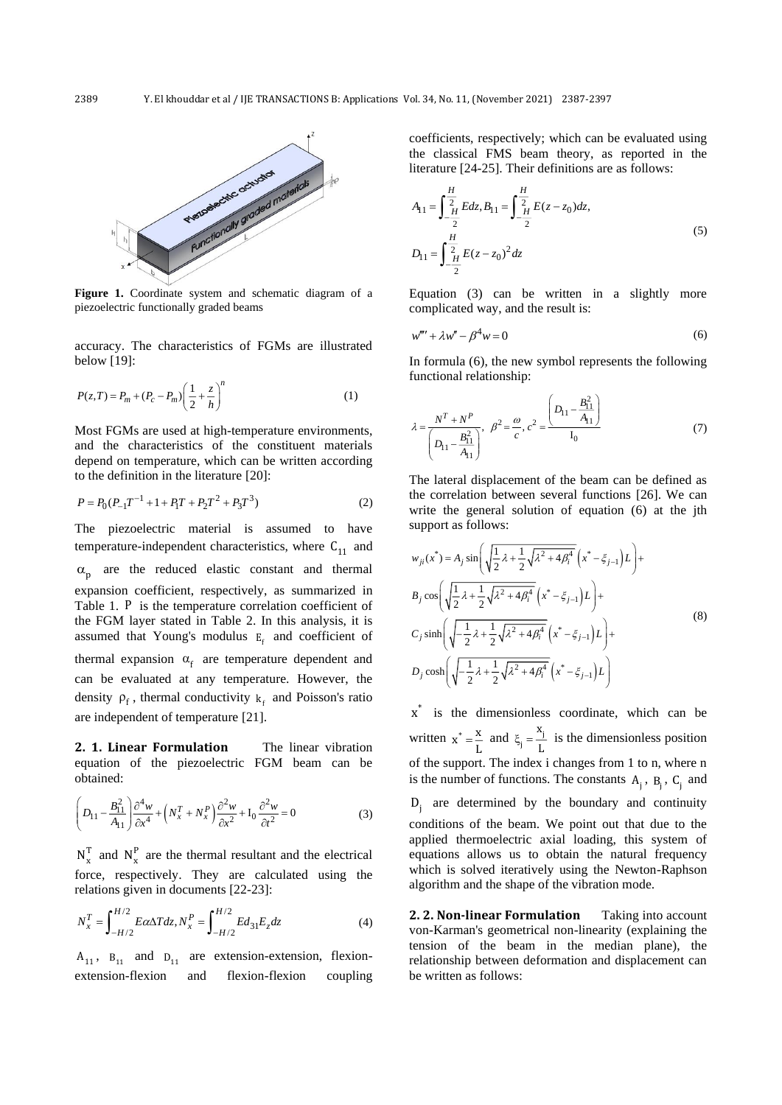

Figure 1. Coordinate system and schematic diagram of a piezoelectric functionally graded beams

accuracy. The characteristics of FGMs are illustrated below [19]:

$$
P(z,T) = P_m + (P_c - P_m) \left(\frac{1}{2} + \frac{z}{h}\right)^n
$$
 (1)

Most FGMs are used at high-temperature environments, and the characteristics of the constituent materials depend on temperature, which can be written according to the definition in the literature [20]:

$$
P = P_0 (P_{-1} T^{-1} + 1 + P_1 T + P_2 T^2 + P_3 T^3)
$$
 (2)

The piezoelectric material is assumed to have temperature-independent characteristics, where  $C_{11}$  and  $\alpha_p$  are the reduced elastic constant and thermal expansion coefficient, respectively, as summarized in Table 1. P is the temperature correlation coefficient of the FGM layer stated in Table 2. In this analysis, it is assumed that Young's modulus  $E_f$  and coefficient of thermal expansion  $\alpha_f$  are temperature dependent and can be evaluated at any temperature. However, the density  $\rho_f$ , thermal conductivity  $k_f$  and Poisson's ratio are independent of temperature [21].

**2. 1. Linear Formulation** The linear vibration equation of the piezoelectric FGM beam can be obtained:

$$
\left(D_{11} - \frac{B_{11}^2}{A_{11}}\right) \frac{\partial^4 w}{\partial x^4} + \left(N_x^T + N_x^P\right) \frac{\partial^2 w}{\partial x^2} + I_0 \frac{\partial^2 w}{\partial t^2} = 0\tag{3}
$$

 $N_x^T$  and  $N_x^P$  are the thermal resultant and the electrical force, respectively. They are calculated using the relations given in documents [22-23]:

$$
N_x^T = \int_{-H/2}^{H/2} E \alpha \Delta T dz, N_x^P = \int_{-H/2}^{H/2} E d_{31} E_z dz
$$
 (4)

 $A_{11}$ ,  $B_{11}$  and  $D_{11}$  are extension-extension, flexionextension-flexion and flexion-flexion coupling coefficients, respectively; which can be evaluated using the classical FMS beam theory, as reported in the literature [24-25]. Their definitions are as follows:

$$
A_{11} = \int_{-\frac{H}{2}}^{\frac{H}{2}} Edz, B_{11} = \int_{-\frac{H}{2}}^{\frac{H}{2}} E(z - z_0) dz,
$$
  

$$
D_{11} = \int_{-\frac{H}{2}}^{\frac{H}{2}} E(z - z_0)^2 dz
$$
 (5)

Equation (3) can be written in a slightly more complicated way, and the result is:

$$
w'''' + \lambda w'' - \beta^4 w = 0 \tag{6}
$$

In formula (6), the new symbol represents the following functional relationship:

$$
\lambda = \frac{N^T + N^P}{\left(D_{11} - \frac{B_{11}^2}{A_{11}}\right)}, \ \ \beta^2 = \frac{\omega}{c}, \ c^2 = \frac{\left(D_{11} - \frac{B_{11}^2}{A_{11}}\right)}{I_0} \tag{7}
$$

The lateral displacement of the beam can be defined as the correlation between several functions [26]. We can write the general solution of equation (6) at the jth support as follows:

$$
w_{ji}(x^*) = A_j \sin\left(\sqrt{\frac{1}{2}\lambda + \frac{1}{2}\sqrt{\lambda^2 + 4\beta_i^4}} \left(x^* - \xi_{j-1}\right)L\right) +
$$
  
\n
$$
B_j \cos\left(\sqrt{\frac{1}{2}\lambda + \frac{1}{2}\sqrt{\lambda^2 + 4\beta_i^4}} \left(x^* - \xi_{j-1}\right)L\right) +
$$
  
\n
$$
C_j \sinh\left(\sqrt{-\frac{1}{2}\lambda + \frac{1}{2}\sqrt{\lambda^2 + 4\beta_i^4}} \left(x^* - \xi_{j-1}\right)L\right) +
$$
  
\n
$$
D_j \cosh\left(\sqrt{-\frac{1}{2}\lambda + \frac{1}{2}\sqrt{\lambda^2 + 4\beta_i^4}} \left(x^* - \xi_{j-1}\right)L\right)
$$
\n(8)

 $x^*$  is the dimensionless coordinate, which can be written  $x^* = \frac{x}{L}$  and  $\xi_j = \frac{x_j}{L}$ x  $\xi_j = \frac{n_j}{L}$  is the dimensionless position of the support. The index i changes from 1 to n, where n is the number of functions. The constants  $A_j$ ,  $B_j$ ,  $C_j$  and  $D_j$  are determined by the boundary and continuity conditions of the beam. We point out that due to the applied thermoelectric axial loading, this system of equations allows us to obtain the natural frequency which is solved iteratively using the Newton-Raphson algorithm and the shape of the vibration mode.

**2. 2. Non-linear Formulation** Taking into account von-Karman's geometrical non-linearity (explaining the tension of the beam in the median plane), the relationship between deformation and displacement can be written as follows: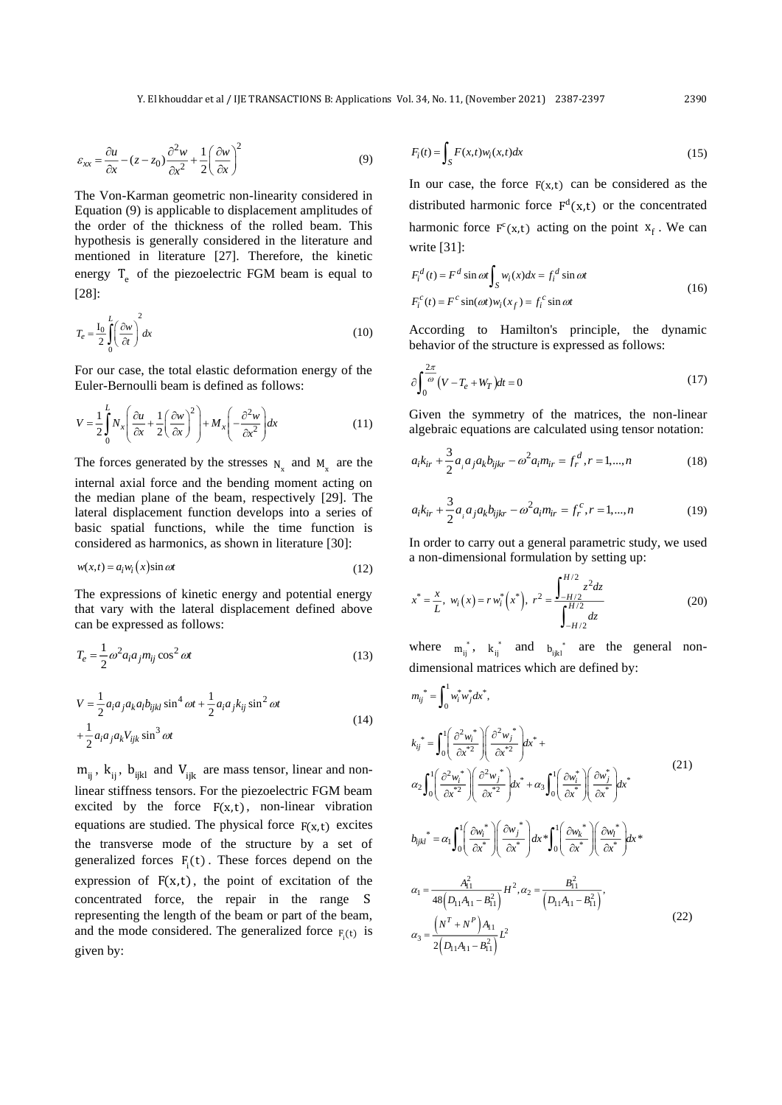$$
\varepsilon_{xx} = \frac{\partial u}{\partial x} - (z - z_0) \frac{\partial^2 w}{\partial x^2} + \frac{1}{2} \left( \frac{\partial w}{\partial x} \right)^2 \tag{9}
$$

The Von-Karman geometric non-linearity considered in Equation (9) is applicable to displacement amplitudes of the order of the thickness of the rolled beam. This hypothesis is generally considered in the literature and mentioned in literature [27]. Therefore, the kinetic energy  $T_e$  of the piezoelectric FGM beam is equal to [28]:

$$
T_e = \frac{I_0}{2} \int_0^L \left(\frac{\partial w}{\partial t}\right)^2 dx\tag{10}
$$

For our case, the total elastic deformation energy of the Euler-Bernoulli beam is defined as follows:

$$
V = \frac{1}{2} \int_{0}^{L} N_x \left( \frac{\partial u}{\partial x} + \frac{1}{2} \left( \frac{\partial w}{\partial x} \right)^2 \right) + M_x \left( -\frac{\partial^2 w}{\partial x^2} \right) dx \tag{11}
$$

The forces generated by the stresses  $N_x$  and  $M_x$  are the internal axial force and the bending moment acting on the median plane of the beam, respectively [29]. The lateral displacement function develops into a series of basic spatial functions, while the time function is considered as harmonics, as shown in literature [30]:

$$
w(x,t) = a_i w_i(x) \sin \omega t \tag{12}
$$

The expressions of kinetic energy and potential energy that vary with the lateral displacement defined above can be expressed as follows:

$$
T_e = \frac{1}{2} \omega^2 a_i a_j m_{ij} \cos^2 \omega t
$$
 (13)

$$
V = \frac{1}{2} a_i a_j a_k a_l b_{ijkl} \sin^4 \omega t + \frac{1}{2} a_i a_j k_{ij} \sin^2 \omega t
$$
  
+ 
$$
\frac{1}{2} a_i a_j a_k V_{ijk} \sin^3 \omega t
$$
 (14)

 $m_{ij}$ ,  $k_{ij}$ ,  $b_{ijkl}$  and  $V_{ijk}$  are mass tensor, linear and nonlinear stiffness tensors. For the piezoelectric FGM beam excited by the force  $F(x,t)$ , non-linear vibration equations are studied. The physical force  $F(x,t)$  excites the transverse mode of the structure by a set of generalized forces  $F_i(t)$ . These forces depend on the expression of  $F(x,t)$ , the point of excitation of the concentrated force, the repair in the range S representing the length of the beam or part of the beam, and the mode considered. The generalized force  $F_i(t)$  is given by:

$$
F_i(t) = \int_S F(x,t)w_i(x,t)dx
$$
\n(15)

In our case, the force  $F(x,t)$  can be considered as the distributed harmonic force  $F^d(x,t)$  or the concentrated harmonic force  $F^{c}(x,t)$  acting on the point  $x_f$ . We can write [31]:

$$
F_i^d(t) = F^d \sin \omega t \int_S w_i(x) dx = f_i^d \sin \omega t
$$
  

$$
F_i^c(t) = F^c \sin(\omega t) w_i(x_f) = f_i^c \sin \omega t
$$
 (16)

According to Hamilton's principle, the dynamic behavior of the structure is expressed as follows:

$$
\partial \int_0^{\frac{2\pi}{\omega}} \left( V - T_e + W_T \right) dt = 0 \tag{17}
$$

Given the symmetry of the matrices, the non-linear algebraic equations are calculated using tensor notation:

$$
a_{i}k_{ir} + \frac{3}{2}a_{i}a_{j}a_{k}b_{ijkr} - \omega^{2}a_{i}m_{ir} = f_{r}^{d}, r = 1,...,n
$$
 (18)

$$
a_{i}k_{ir} + \frac{3}{2}a_{i}a_{j}a_{k}b_{ijkr} - \omega^{2}a_{i}m_{ir} = f_{r}^{c}, r = 1,...,n
$$
 (19)

In order to carry out a general parametric study, we used a non-dimensional formulation by setting up:

$$
x^* = \frac{x}{L}, \ w_i(x) = r w_i^* (x^*), \ r^2 = \frac{\int_{-H/2}^{H/2} z^2 dz}{\int_{-H/2}^{H/2} dz}
$$
 (20)

where  $m_{ij}^*$ ,  $k_{ij}^*$  and  $b_{ijkl}^*$  are the general nondimensional matrices which are defined by:

$$
m_{ij}^* = \int_0^1 w_i^* w_j^* dx^*,
$$
  
\n
$$
k_{ij}^* = \int_0^1 \left(\frac{\partial^2 w_i^*}{\partial x^{*2}}\right) \left(\frac{\partial^2 w_j^*}{\partial x^{*2}}\right) dx^* +
$$
  
\n
$$
\alpha_2 \int_0^1 \left(\frac{\partial^2 w_i^*}{\partial x^{*2}}\right) \left(\frac{\partial^2 w_j^*}{\partial x^{*2}}\right) dx^* + \alpha_3 \int_0^1 \left(\frac{\partial w_i^*}{\partial x^*}\right) \left(\frac{\partial w_j^*}{\partial x^*}\right) dx^*
$$
  
\n
$$
b_{ijkl}^* = \alpha_1 \int_0^1 \left(\frac{\partial w_i^*}{\partial x^*}\right) \left(\frac{\partial w_j^*}{\partial x^*}\right) dx^* \int_0^1 \left(\frac{\partial w_k^*}{\partial x^*}\right) \left(\frac{\partial w_k^*}{\partial x^*}\right) dx^*
$$
  
\n
$$
\alpha_1 = \frac{A_{11}^2}{48\left(D_{11}A_{11} - B_{11}^2\right)} H^2, \alpha_2 = \frac{B_{11}^2}{\left(D_{11}A_{11} - B_{11}^2\right)},
$$
  
\n
$$
\alpha_3 = \frac{\left(N^T + N^P\right)A_{11}}{2\left(D_{11}A_{11} - B_{11}^2\right)} L^2
$$
\n(22)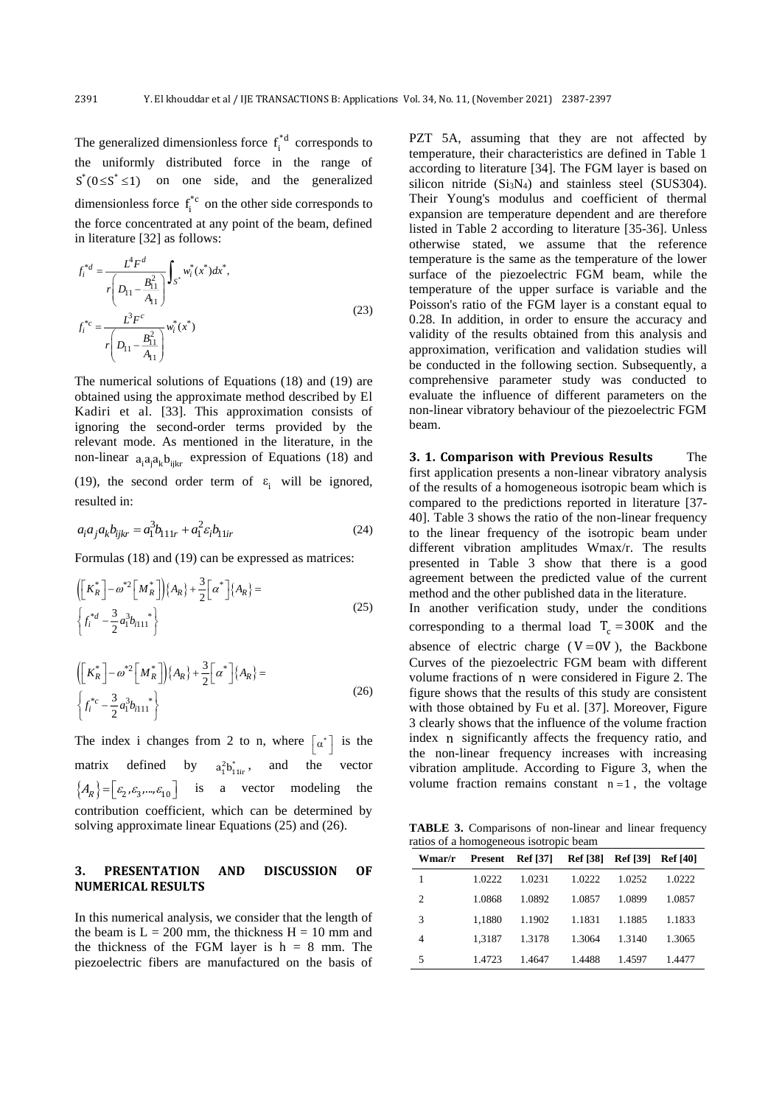The generalized dimensionless force  $f_i^*$ <sup>d</sup> corresponds to the uniformly distributed force in the range of  $S<sup>*</sup>(0 \le S<sup>*</sup> \le 1)$  on one side, and the generalized dimensionless force  $f_i^*$  on the other side corresponds to the force concentrated at any point of the beam, defined in literature [32] as follows:

$$
f_i^{*d} = \frac{L^4 F^d}{r \left( D_{11} - \frac{B_{11}^2}{A_{11}} \right)} \int_{S^*} w_i^*(x^*) dx^*,
$$
  

$$
f_i^{*c} = \frac{L^3 F^c}{r \left( D_{11} - \frac{B_{11}^2}{A_{11}} \right)} w_i^*(x^*)
$$
 (23)

The numerical solutions of Equations (18) and (19) are obtained using the approximate method described by El Kadiri et al. [33]. This approximation consists of ignoring the second-order terms provided by the relevant mode. As mentioned in the literature, in the non-linear  $a_i a_j a_k b_{ijkl}$  expression of Equations (18) and

(19), the second order term of  $\varepsilon_i$  will be ignored, resulted in:

$$
a_i a_j a_k b_{ijkr} = a_1^3 b_{111r} + a_1^2 \varepsilon_i b_{11ir}
$$
 (24)

Formulas (18) and (19) can be expressed as matrices:

$$
\left( \left[ K_R^* \right] - \omega^{*2} \left[ M_R^* \right] \right) \{ A_R \} + \frac{3}{2} \left[ \alpha^* \right] \{ A_R \} =
$$
\n
$$
\left\{ f_i^{*d} - \frac{3}{2} a_1^3 b_{i111}^* \right\}
$$
\n(25)

$$
\left( \left[ K_R^* \right] - \omega^{*2} \left[ M_R^* \right] \right) \{ A_R \} + \frac{3}{2} \left[ \alpha^* \right] \{ A_R \} =
$$
\n
$$
\left\{ f_i^{*c} - \frac{3}{2} a_1^3 b_{i11}^{*} \right\}
$$
\n(26)

The index i changes from 2 to n, where  $\begin{bmatrix} \alpha^* \end{bmatrix}$  is the matrix defined by  $a_1^2 b_{11ir}^*$ , and the vector  ${A_R}$  =  $[\varepsilon_2, \varepsilon_3, ..., \varepsilon_{10}]$  is a vector modeling the contribution coefficient, which can be determined by solving approximate linear Equations (25) and (26).

## **3. PRESENTATION AND DISCUSSION OF NUMERICAL RESULTS**

In this numerical analysis, we consider that the length of the beam is  $L = 200$  mm, the thickness  $H = 10$  mm and the thickness of the FGM layer is  $h = 8$  mm. The piezoelectric fibers are manufactured on the basis of

PZT 5A, assuming that they are not affected by temperature, their characteristics are defined in Table 1 according to literature [34]. The FGM layer is based on silicon nitride  $(Si<sub>3</sub>N<sub>4</sub>)$  and stainless steel (SUS304). Their Young's modulus and coefficient of thermal expansion are temperature dependent and are therefore listed in Table 2 according to literature [35-36]. Unless otherwise stated, we assume that the reference temperature is the same as the temperature of the lower surface of the piezoelectric FGM beam, while the temperature of the upper surface is variable and the Poisson's ratio of the FGM layer is a constant equal to 0.28. In addition, in order to ensure the accuracy and validity of the results obtained from this analysis and approximation, verification and validation studies will be conducted in the following section. Subsequently, a comprehensive parameter study was conducted to evaluate the influence of different parameters on the non-linear vibratory behaviour of the piezoelectric FGM beam.

**3. 1. Comparison with Previous Results** The first application presents a non-linear vibratory analysis of the results of a homogeneous isotropic beam which is compared to the predictions reported in literature [37- 40]. Table 3 shows the ratio of the non-linear frequency to the linear frequency of the isotropic beam under different vibration amplitudes Wmax/r. The results presented in Table 3 show that there is a good agreement between the predicted value of the current method and the other published data in the literature. In another verification study, under the conditions corresponding to a thermal load  $T_c = 300K$  and the absence of electric charge  $(V = 0V)$ , the Backbone Curves of the piezoelectric FGM beam with different volume fractions of n were considered in Figure 2. The figure shows that the results of this study are consistent with those obtained by Fu et al. [37]. Moreover, Figure 3 clearly shows that the influence of the volume fraction index n significantly affects the frequency ratio, and the non-linear frequency increases with increasing vibration amplitude. According to Figure 3, when the volume fraction remains constant  $n = 1$ , the voltage

**TABLE 3.** Comparisons of non-linear and linear frequency ratios of a homogeneous isotropic beam

| Wmar/r         |        | <b>Present</b> Ref [37] Ref [38] Ref [39] Ref [40] |        |        |        |
|----------------|--------|----------------------------------------------------|--------|--------|--------|
| 1              | 1.0222 | 1.0231                                             | 1.0222 | 1.0252 | 1.0222 |
| $\overline{2}$ | 1.0868 | 1.0892                                             | 1.0857 | 1.0899 | 1.0857 |
| 3              | 1.1880 | 1.1902                                             | 1.1831 | 1.1885 | 1.1833 |
| 4              | 1.3187 | 1.3178                                             | 1.3064 | 1.3140 | 1.3065 |
| 5              | 1.4723 | 1.4647                                             | 1.4488 | 1.4597 | 1.4477 |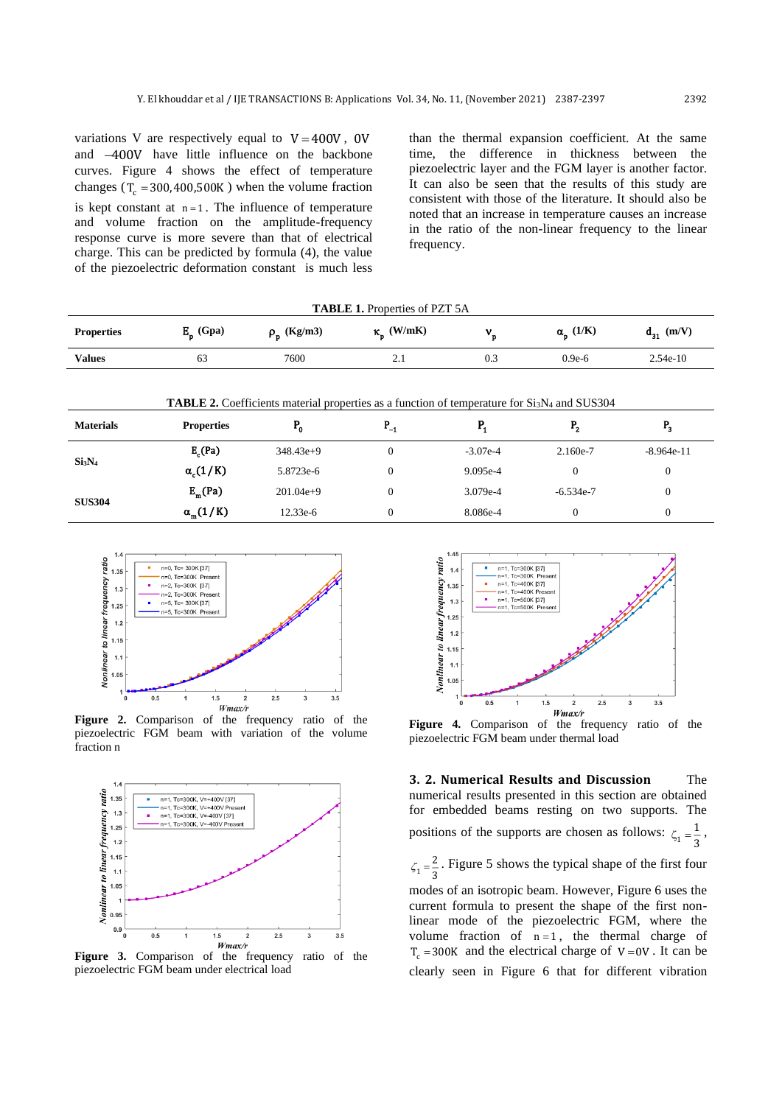variations V are respectively equal to  $V = 400V$ , 0V and −400V have little influence on the backbone curves. Figure 4 shows the effect of temperature changes ( $T_c = 300,400,500K$ ) when the volume fraction is kept constant at  $n=1$ . The influence of temperature and volume fraction on the amplitude-frequency response curve is more severe than that of electrical charge. This can be predicted by formula (4), the value of the piezoelectric deformation constant is much less

than the thermal expansion coefficient. At the same time, the difference in thickness between the piezoelectric layer and the FGM layer is another factor. It can also be seen that the results of this study are consistent with those of the literature. It should also be noted that an increase in temperature causes an increase in the ratio of the non-linear frequency to the linear frequency.

| <b>TABLE 1.</b> Properties of PZT 5A |             |                  |                         |     |                        |                |  |
|--------------------------------------|-------------|------------------|-------------------------|-----|------------------------|----------------|--|
| <b>Properties</b>                    | $E_p$ (Gpa) | $\rho_p$ (Kg/m3) | $\kappa_{\rm p}$ (W/mK) |     | $\alpha_{\rm p}$ (1/K) | $d_{31}$ (m/V) |  |
| Values                               | 63          | 7600             | 2.1                     | 0.3 | $0.9e-6$               | $2.54e-10$     |  |

| <b>TABLE 2.</b> Coefficients material properties as a function of temperature for Si <sub>3</sub> N <sub>4</sub> and SUS304 |  |  |  |
|-----------------------------------------------------------------------------------------------------------------------------|--|--|--|
|                                                                                                                             |  |  |  |

| <b>Materials</b>               | <b>Properties</b>   | D<br>۰.     | -1 | . .        | D<br>- 7    | - 3          |  |
|--------------------------------|---------------------|-------------|----|------------|-------------|--------------|--|
| Si <sub>3</sub> N <sub>4</sub> | E <sub>c</sub> (Pa) | $348.43e+9$ |    | $-3.07e-4$ | 2.160e-7    | $-8.964e-11$ |  |
|                                | $\alpha_c(1/K)$     | 5.8723e-6   |    | 9.095e-4   |             |              |  |
| <b>SUS304</b>                  | $E_m(Pa)$           | $201.04e+9$ |    | 3.079e-4   | $-6.534e-7$ |              |  |
|                                | $\alpha_{m}(1/K)$   | 12.33e-6    |    | 8.086e-4   |             |              |  |



**Figure 2.** Comparison of the frequency ratio of the piezoelectric FGM beam with variation of the volume fraction n



piezoelectric FGM beam under electrical load



**Figure 4.** Comparison of the frequency ratio of the piezoelectric FGM beam under thermal load

**3. 2. Numerical Results and Discussion** The numerical results presented in this section are obtained for embedded beams resting on two supports. The positions of the supports are chosen as follows:  $\zeta_1$ 1  $\zeta_1 = \frac{1}{3}$ ,

1 2  $\zeta_1 = \frac{2}{3}$ . Figure 5 shows the typical shape of the first four

modes of an isotropic beam. However, Figure 6 uses the current formula to present the shape of the first nonlinear mode of the piezoelectric FGM, where the volume fraction of  $n=1$ , the thermal charge of  $T_c$  = 300K and the electrical charge of  $V = 0V$ . It can be clearly seen in Figure 6 that for different vibration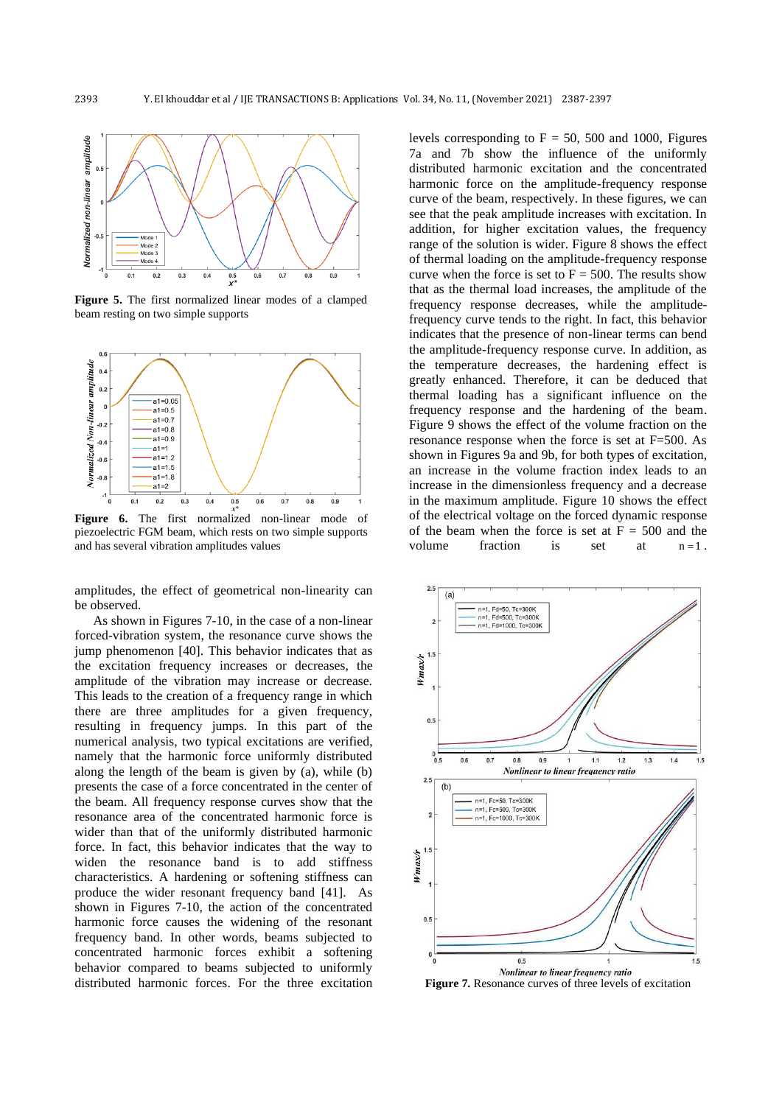

**Figure 5.** The first normalized linear modes of a clamped beam resting on two simple supports



**Figure 6.** The first normalized non-linear mode of piezoelectric FGM beam, which rests on two simple supports and has several vibration amplitudes values

amplitudes, the effect of geometrical non-linearity can be observed.

As shown in Figures 7-10, in the case of a non-linear forced-vibration system, the resonance curve shows the jump phenomenon [40]. This behavior indicates that as the excitation frequency increases or decreases, the amplitude of the vibration may increase or decrease. This leads to the creation of a frequency range in which there are three amplitudes for a given frequency, resulting in frequency jumps. In this part of the numerical analysis, two typical excitations are verified, namely that the harmonic force uniformly distributed along the length of the beam is given by (a), while (b) presents the case of a force concentrated in the center of the beam. All frequency response curves show that the resonance area of the concentrated harmonic force is wider than that of the uniformly distributed harmonic force. In fact, this behavior indicates that the way to widen the resonance band is to add stiffness characteristics. A hardening or softening stiffness can produce the wider resonant frequency band [41]. As shown in Figures 7-10, the action of the concentrated harmonic force causes the widening of the resonant frequency band. In other words, beams subjected to concentrated harmonic forces exhibit a softening behavior compared to beams subjected to uniformly distributed harmonic forces. For the three excitation levels corresponding to  $F = 50$ , 500 and 1000, Figures 7a and 7b show the influence of the uniformly distributed harmonic excitation and the concentrated harmonic force on the amplitude-frequency response curve of the beam, respectively. In these figures, we can see that the peak amplitude increases with excitation. In addition, for higher excitation values, the frequency range of the solution is wider. Figure 8 shows the effect of thermal loading on the amplitude-frequency response curve when the force is set to  $F = 500$ . The results show that as the thermal load increases, the amplitude of the frequency response decreases, while the amplitudefrequency curve tends to the right. In fact, this behavior indicates that the presence of non-linear terms can bend the amplitude-frequency response curve. In addition, as the temperature decreases, the hardening effect is greatly enhanced. Therefore, it can be deduced that thermal loading has a significant influence on the frequency response and the hardening of the beam. Figure 9 shows the effect of the volume fraction on the resonance response when the force is set at F=500. As shown in Figures 9a and 9b, for both types of excitation, an increase in the volume fraction index leads to an increase in the dimensionless frequency and a decrease in the maximum amplitude. Figure 10 shows the effect of the electrical voltage on the forced dynamic response of the beam when the force is set at  $F = 500$  and the volume fraction is set at  $n = 1$ .



**Figure 7.** Resonance curves of three levels of excitation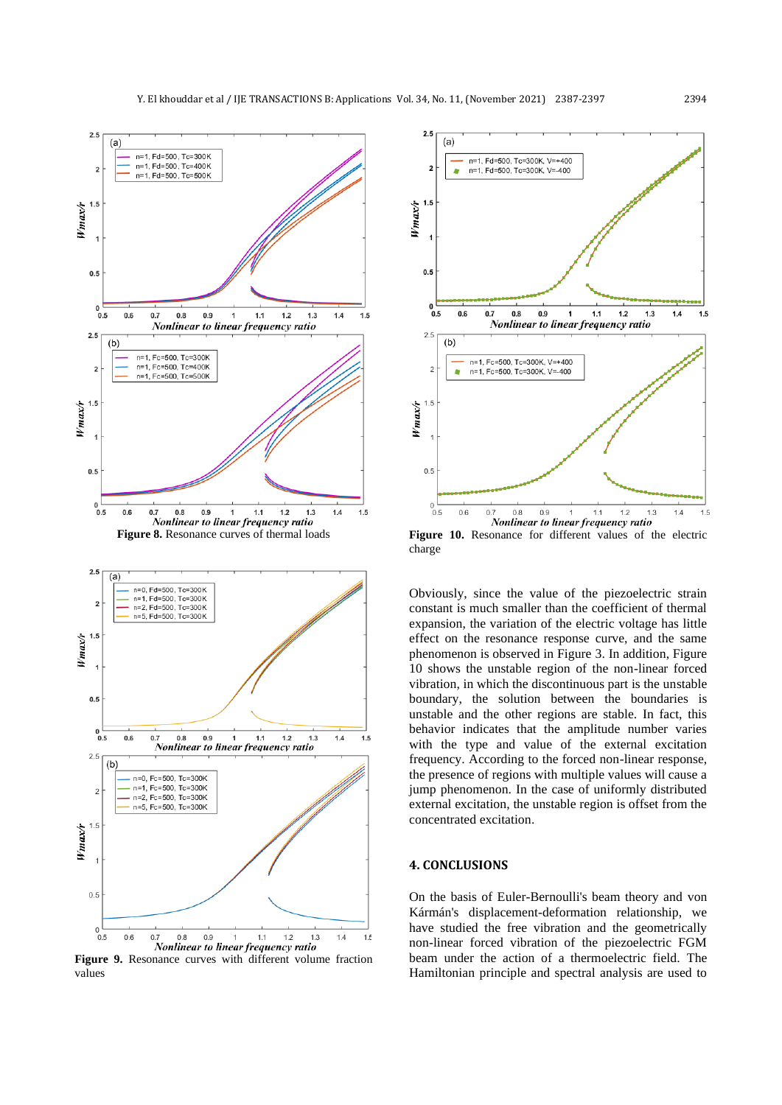

**Figure 9.** Resonance curves with different volume fraction values



**Figure 10.** Resonance for different values of the electric charge

Obviously, since the value of the piezoelectric strain constant is much smaller than the coefficient of thermal expansion, the variation of the electric voltage has little effect on the resonance response curve, and the same phenomenon is observed in Figure 3. In addition, Figure 10 shows the unstable region of the non-linear forced vibration, in which the discontinuous part is the unstable boundary, the solution between the boundaries is unstable and the other regions are stable. In fact, this behavior indicates that the amplitude number varies with the type and value of the external excitation frequency. According to the forced non-linear response, the presence of regions with multiple values will cause a jump phenomenon. In the case of uniformly distributed external excitation, the unstable region is offset from the concentrated excitation.

### **4. CONCLUSIONS**

On the basis of Euler-Bernoulli's beam theory and von Kármán's displacement-deformation relationship, we have studied the free vibration and the geometrically non-linear forced vibration of the piezoelectric FGM beam under the action of a thermoelectric field. The Hamiltonian principle and spectral analysis are used to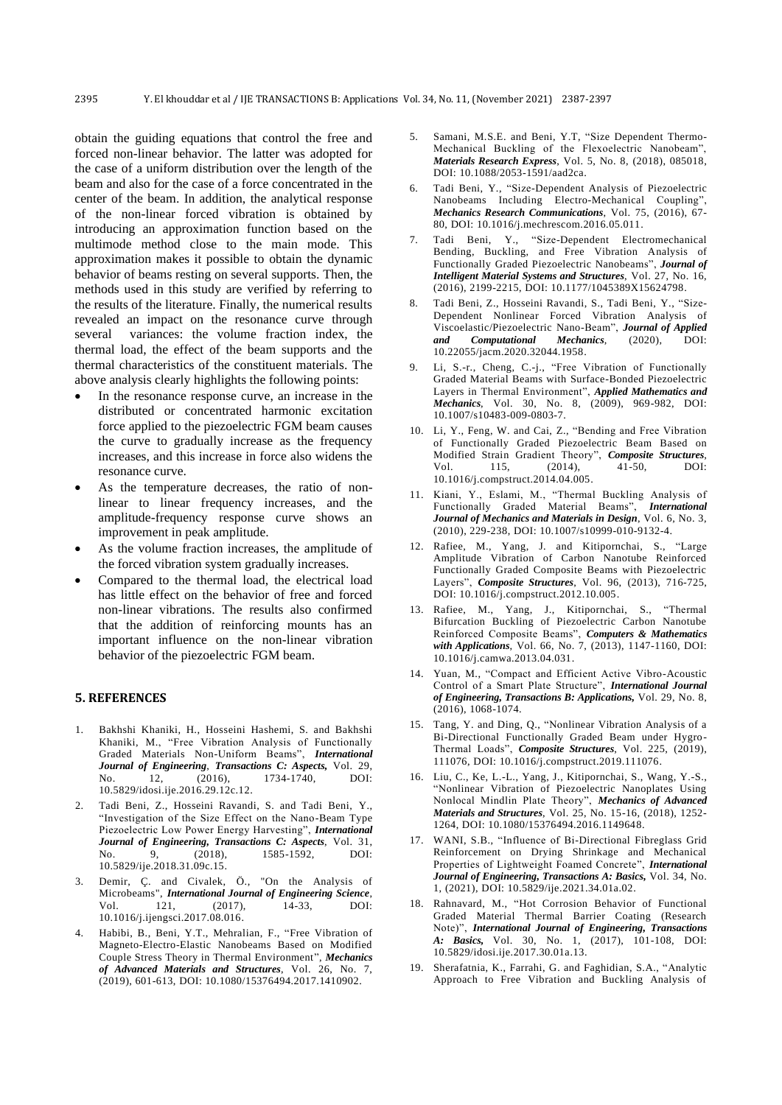obtain the guiding equations that control the free and forced non-linear behavior. The latter was adopted for the case of a uniform distribution over the length of the beam and also for the case of a force concentrated in the center of the beam. In addition, the analytical response of the non-linear forced vibration is obtained by introducing an approximation function based on the multimode method close to the main mode. This approximation makes it possible to obtain the dynamic behavior of beams resting on several supports. Then, the methods used in this study are verified by referring to the results of the literature. Finally, the numerical results revealed an impact on the resonance curve through several variances: the volume fraction index, the thermal load, the effect of the beam supports and the thermal characteristics of the constituent materials. The above analysis clearly highlights the following points:

- In the resonance response curve, an increase in the distributed or concentrated harmonic excitation force applied to the piezoelectric FGM beam causes the curve to gradually increase as the frequency increases, and this increase in force also widens the resonance curve.
- As the temperature decreases, the ratio of nonlinear to linear frequency increases, and the amplitude-frequency response curve shows an improvement in peak amplitude.
- As the volume fraction increases, the amplitude of the forced vibration system gradually increases.
- Compared to the thermal load, the electrical load has little effect on the behavior of free and forced non-linear vibrations. The results also confirmed that the addition of reinforcing mounts has an important influence on the non-linear vibration behavior of the piezoelectric FGM beam.

## **5. REFERENCES**

- 1. Bakhshi Khaniki, H., Hosseini Hashemi, S. and Bakhshi Khaniki, M., "Free Vibration Analysis of Functionally Graded Materials Non-Uniform Beams", *International Journal of Engineering*, *Transactions C: Aspects,* Vol. 29, No. 12, (2016), 1734-1740, DOI: 10.5829/idosi.ije.2016.29.12c.12.
- 2. Tadi Beni, Z., Hosseini Ravandi, S. and Tadi Beni, Y., "Investigation of the Size Effect on the Nano-Beam Type Piezoelectric Low Power Energy Harvesting", *International Journal of Engineering, Transactions C: Aspects*, Vol. 31, No. 9, (2018), 1585-1592, DOI: 10.5829/ije.2018.31.09c.15.
- 3. Demir, Ç. and Civalek, Ö., "On the Analysis of Microbeams", *International Journal of Engineering Science*, Vol. 121, (2017), 14-33, DOI: 10.1016/j.ijengsci.2017.08.016.
- 4. Habibi, B., Beni, Y.T., Mehralian, F., "Free Vibration of Magneto-Electro-Elastic Nanobeams Based on Modified Couple Stress Theory in Thermal Environment", *Mechanics of Advanced Materials and Structures*, Vol. 26, No. 7, (2019), 601-613, DOI: 10.1080/15376494.2017.1410902.
- 5. Samani, M.S.E. and Beni, Y.T, "Size Dependent Thermo-Mechanical Buckling of the Flexoelectric Nanobeam", *Materials Research Express*, Vol. 5, No. 8, (2018), 085018, DOI: 10.1088/2053-1591/aad2ca.
- 6. Tadi Beni, Y., "Size-Dependent Analysis of Piezoelectric Nanobeams Including Electro-Mechanical Coupling", *Mechanics Research Communications*, Vol. 75, (2016), 67- 80, DOI: 10.1016/j.mechrescom.2016.05.011.
- 7. Tadi Beni, Y., "Size-Dependent Electromechanical Bending, Buckling, and Free Vibration Analysis of Functionally Graded Piezoelectric Nanobeams", *Journal of Intelligent Material Systems and Structures*, Vol. 27, No. 16, (2016), 2199-2215, DOI: 10.1177/1045389X15624798.
- 8. Tadi Beni, Z., Hosseini Ravandi, S., Tadi Beni, Y., "Size-Dependent Nonlinear Forced Vibration Analysis of Viscoelastic/Piezoelectric Nano-Beam", *Journal of Applied and Computational Mechanics*, (2020), DOI: 10.22055/jacm.2020.32044.1958.
- 9. Li, S.-r., Cheng, C.-j., "Free Vibration of Functionally Graded Material Beams with Surface-Bonded Piezoelectric Layers in Thermal Environment", *Applied Mathematics and Mechanics*, Vol. 30, No. 8, (2009), 969-982, DOI: 10.1007/s10483-009-0803-7.
- 10. Li, Y., Feng, W. and Cai, Z., "Bending and Free Vibration of Functionally Graded Piezoelectric Beam Based on Modified Strain Gradient Theory", *Composite Structures*, Vol.  $115,$   $(2014),$ 10.1016/j.compstruct.2014.04.005.
- 11. Kiani, Y., Eslami, M., "Thermal Buckling Analysis of Functionally Graded Material Beams", *International Journal of Mechanics and Materials in Design*, Vol. 6, No. 3, (2010), 229-238, DOI: 10.1007/s10999-010-9132-4.
- 12. Rafiee, M., Yang, J. and Kitipornchai, S., "Large Amplitude Vibration of Carbon Nanotube Reinforced Functionally Graded Composite Beams with Piezoelectric Layers", *Composite Structures*, Vol. 96, (2013), 716-725, DOI: 10.1016/j.compstruct.2012.10.005.
- 13. Rafiee, M., Yang, J., Kitipornchai, S., "Thermal Bifurcation Buckling of Piezoelectric Carbon Nanotube Reinforced Composite Beams", *Computers & Mathematics with Applications*, Vol. 66, No. 7, (2013), 1147-1160, DOI: 10.1016/j.camwa.2013.04.031.
- 14. Yuan, M., "Compact and Efficient Active Vibro-Acoustic Control of a Smart Plate Structure", *International Journal of Engineering, Transactions B: Applications,* Vol. 29, No. 8, (2016), 1068-1074.
- 15. Tang, Y. and Ding, Q., "Nonlinear Vibration Analysis of a Bi-Directional Functionally Graded Beam under Hygro-Thermal Loads", *Composite Structures*, Vol. 225, (2019), 111076, DOI: 10.1016/j.compstruct.2019.111076.
- 16. Liu, C., Ke, L.-L., Yang, J., Kitipornchai, S., Wang, Y.-S., "Nonlinear Vibration of Piezoelectric Nanoplates Using Nonlocal Mindlin Plate Theory", *Mechanics of Advanced Materials and Structures*, Vol. 25, No. 15-16, (2018), 1252- 1264, DOI: 10.1080/15376494.2016.1149648.
- 17. WANI, S.B., "Influence of Bi-Directional Fibreglass Grid Reinforcement on Drying Shrinkage and Mechanical Properties of Lightweight Foamed Concrete", *International Journal of Engineering, Transactions A: Basics,* Vol. 34, No. 1, (2021), DOI: 10.5829/ije.2021.34.01a.02.
- 18. Rahnavard, M., "Hot Corrosion Behavior of Functional Graded Material Thermal Barrier Coating (Research Note)", *International Journal of Engineering, Transactions A: Basics,* Vol. 30, No. 1, (2017), 101-108, DOI: 10.5829/idosi.ije.2017.30.01a.13.
- 19. Sherafatnia, K., Farrahi, G. and Faghidian, S.A., "Analytic Approach to Free Vibration and Buckling Analysis of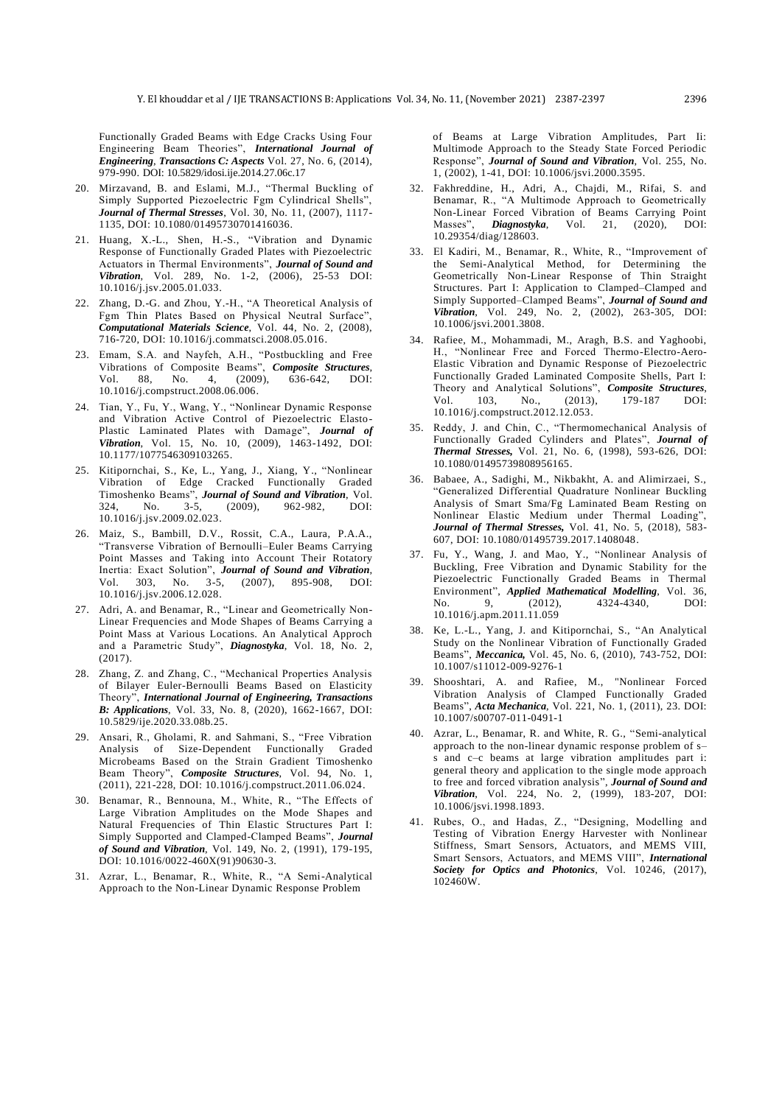Functionally Graded Beams with Edge Cracks Using Four Engineering Beam Theories", *International Journal of Engineering*, *Transactions C: Aspects* Vol. 27, No. 6, (2014), 979-990. DOI: 10.5829/idosi.ije.2014.27.06c.17

- 20. Mirzavand, B. and Eslami, M.J., "Thermal Buckling of Simply Supported Piezoelectric Fgm Cylindrical Shells", *Journal of Thermal Stresses*, Vol. 30, No. 11, (2007), 1117- 1135, DOI: 10.1080/01495730701416036.
- 21. Huang, X.-L., Shen, H.-S., "Vibration and Dynamic Response of Functionally Graded Plates with Piezoelectric Actuators in Thermal Environments", *Journal of Sound and Vibration*, Vol. 289, No. 1-2, (2006), 25-53 DOI: 10.1016/j.jsv.2005.01.033.
- 22. Zhang, D.-G. and Zhou, Y.-H., "A Theoretical Analysis of Fgm Thin Plates Based on Physical Neutral Surface", *Computational Materials Science*, Vol. 44, No. 2, (2008), 716-720, DOI: 10.1016/j.commatsci.2008.05.016.
- 23. Emam, S.A. and Nayfeh, A.H., "Postbuckling and Free Vibrations of Composite Beams", *Composite Structures*, 88, No. 10.1016/j.compstruct.2008.06.006.
- 24. Tian, Y., Fu, Y., Wang, Y., "Nonlinear Dynamic Response and Vibration Active Control of Piezoelectric Elasto-Plastic Laminated Plates with Damage", *Journal of Vibration*, Vol. 15, No. 10, (2009), 1463-1492, DOI: [10.1177/1077546309103265.](https://doi.org/10.1177%2F1077546309103265)
- 25. Kitipornchai, S., Ke, L., Yang, J., Xiang, Y., "Nonlinear Vibration of Edge Cracked Functionally Graded Timoshenko Beams", *Journal of Sound and Vibration*, Vol. 324, No. 3-5, (2009), 962-982, DOI: 10.1016/j.jsv.2009.02.023.
- 26. Maiz, S., Bambill, D.V., Rossit, C.A., Laura, P.A.A., "Transverse Vibration of Bernoulli–Euler Beams Carrying Point Masses and Taking into Account Their Rotatory Inertia: Exact Solution", *Journal of Sound and Vibration*, Vol.  $303$ , No.  $3-5$ , 10.1016/j.jsv.2006.12.028.
- 27. Adri, A. and Benamar, R., "Linear and Geometrically Non-Linear Frequencies and Mode Shapes of Beams Carrying a Point Mass at Various Locations. An Analytical Approch and a Parametric Study", *Diagnostyka*, Vol. 18, No. 2, (2017).
- 28. Zhang, Z. and Zhang, C., "Mechanical Properties Analysis of Bilayer Euler-Bernoulli Beams Based on Elasticity Theory", *International Journal of Engineering, Transactions B: Applications*, Vol. 33, No. 8, (2020), 1662-1667, DOI: 10.5829/ije.2020.33.08b.25.
- 29. Ansari, R., Gholami, R. and Sahmani, S., "Free Vibration Analysis of Size-Dependent Functionally Graded Microbeams Based on the Strain Gradient Timoshenko Beam Theory", *Composite Structures*, Vol. 94, No. 1, (2011), 221-228, DOI: 10.1016/j.compstruct.2011.06.024.
- 30. Benamar, R., Bennouna, M., White, R., "The Effects of Large Vibration Amplitudes on the Mode Shapes and Natural Frequencies of Thin Elastic Structures Part I: Simply Supported and Clamped-Clamped Beams", *Journal of Sound and Vibration*, Vol. 149, No. 2, (1991), 179-195, DOI: 10.1016/0022-460X(91)90630-3.
- 31. Azrar, L., Benamar, R., White, R., "A Semi-Analytical Approach to the Non-Linear Dynamic Response Problem

of Beams at Large Vibration Amplitudes, Part Ii: Multimode Approach to the Steady State Forced Periodic Response", *Journal of Sound and Vibration*, Vol. 255, No. 1, (2002), 1-41, DOI: 10.1006/jsvi.2000.3595.

- 32. Fakhreddine, H., Adri, A., Chajdi, M., Rifai, S. and Benamar, R., "A Multimode Approach to Geometrically Non-Linear Forced Vibration of Beams Carrying Point Masses", *Diagnostyka*, Vol. 21, (2020), DOI: 10.29354/diag/128603.
- 33. El Kadiri, M., Benamar, R., White, R., "Improvement of the Semi-Analytical Method, for Determining the Geometrically Non-Linear Response of Thin Straight Structures. Part I: Application to Clamped–Clamped and Simply Supported–Clamped Beams", *Journal of Sound and Vibration*, Vol. 249, No. 2, (2002), 263-305, DOI: 10.1006/jsvi.2001.3808.
- 34. Rafiee, M., Mohammadi, M., Aragh, B.S. and Yaghoobi, H., "Nonlinear Free and Forced Thermo-Electro-Aero-Elastic Vibration and Dynamic Response of Piezoelectric Functionally Graded Laminated Composite Shells, Part I: Theory and Analytical Solutions", *Composite Structures*, Vol. 103, No., (2013), 179-187 DOI: 10.1016/j.compstruct.2012.12.053.
- 35. Reddy, J. and Chin, C., "Thermomechanical Analysis of Functionally Graded Cylinders and Plates", *Journal of Thermal Stresses,* Vol. 21, No. 6, (1998), 593-626, DOI: 10.1080/01495739808956165.
- 36. Babaee, A., Sadighi, M., Nikbakht, A. and Alimirzaei, S., "Generalized Differential Quadrature Nonlinear Buckling Analysis of Smart Sma/Fg Laminated Beam Resting on Nonlinear Elastic Medium under Thermal Loading", *Journal of Thermal Stresses,* Vol. 41, No. 5, (2018), 583- 607, DOI: 10.1080/01495739.2017.1408048.
- 37. Fu, Y., Wang, J. and Mao, Y., "Nonlinear Analysis of Buckling, Free Vibration and Dynamic Stability for the Piezoelectric Functionally Graded Beams in Thermal Environment", *Applied Mathematical Modelling*, Vol. 36, No. 9, (2012), 4324-4340, DOI: 10.1016/j.apm.2011.11.059
- 38. Ke, L.-L., Yang, J. and Kitipornchai, S., "An Analytical Study on the Nonlinear Vibration of Functionally Graded Beams", *Meccanica,* Vol. 45, No. 6, (2010), 743-752, DOI: 10.1007/s11012-009-9276-1
- 39. Shooshtari, A. and Rafiee, M., "Nonlinear Forced Vibration Analysis of Clamped Functionally Graded Beams", *Acta Mechanica*, Vol. 221, No. 1, (2011), 23. DOI: 10.1007/s00707-011-0491-1
- 40. Azrar, L., Benamar, R. and White, R. G., "Semi-analytical approach to the non-linear dynamic response problem of s– s and c–c beams at large vibration amplitudes part i: general theory and application to the single mode approach to free and forced vibration analysis", *Journal of Sound and Vibration*, Vol. 224, No. 2, (1999), 183-207, DOI: 10.1006/jsvi.1998.1893.
- 41. Rubes, O., and Hadas, Z., "Designing, Modelling and Testing of Vibration Energy Harvester with Nonlinear Stiffness, Smart Sensors, Actuators, and MEMS VIII, Smart Sensors, Actuators, and MEMS VIII", *International Society for Optics and Photonics*, Vol. 10246, (2017), 102460W.